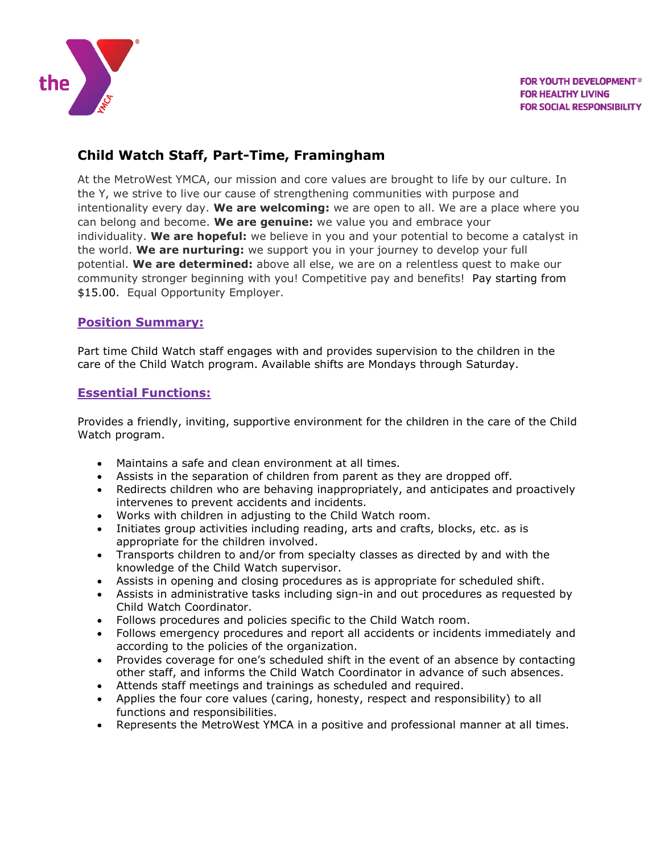

# **Child Watch Staff, Part-Time, Framingham**

At the MetroWest YMCA, our mission and core values are brought to life by our culture. In the Y, we strive to live our cause of strengthening communities with purpose and intentionality every day. **We are welcoming:** we are open to all. We are a place where you can belong and become. **We are genuine:** we value you and embrace your individuality. **We are hopeful:** we believe in you and your potential to become a catalyst in the world. **We are nurturing:** we support you in your journey to develop your full potential. **We are determined:** above all else, we are on a relentless quest to make our community stronger beginning with you! Competitive pay and benefits! Pay starting from \$15.00. Equal Opportunity Employer.

#### **Position Summary:**

Part time Child Watch staff engages with and provides supervision to the children in the care of the Child Watch program. Available shifts are Mondays through Saturday.

#### **Essential Functions:**

Provides a friendly, inviting, supportive environment for the children in the care of the Child Watch program.

- Maintains a safe and clean environment at all times.
- Assists in the separation of children from parent as they are dropped off.
- Redirects children who are behaving inappropriately, and anticipates and proactively intervenes to prevent accidents and incidents.
- Works with children in adjusting to the Child Watch room.
- Initiates group activities including reading, arts and crafts, blocks, etc. as is appropriate for the children involved.
- Transports children to and/or from specialty classes as directed by and with the knowledge of the Child Watch supervisor.
- Assists in opening and closing procedures as is appropriate for scheduled shift.
- Assists in administrative tasks including sign-in and out procedures as requested by Child Watch Coordinator.
- Follows procedures and policies specific to the Child Watch room.
- Follows emergency procedures and report all accidents or incidents immediately and according to the policies of the organization.
- Provides coverage for one's scheduled shift in the event of an absence by contacting other staff, and informs the Child Watch Coordinator in advance of such absences.
- Attends staff meetings and trainings as scheduled and required.
- Applies the four core values (caring, honesty, respect and responsibility) to all functions and responsibilities.
- Represents the MetroWest YMCA in a positive and professional manner at all times.